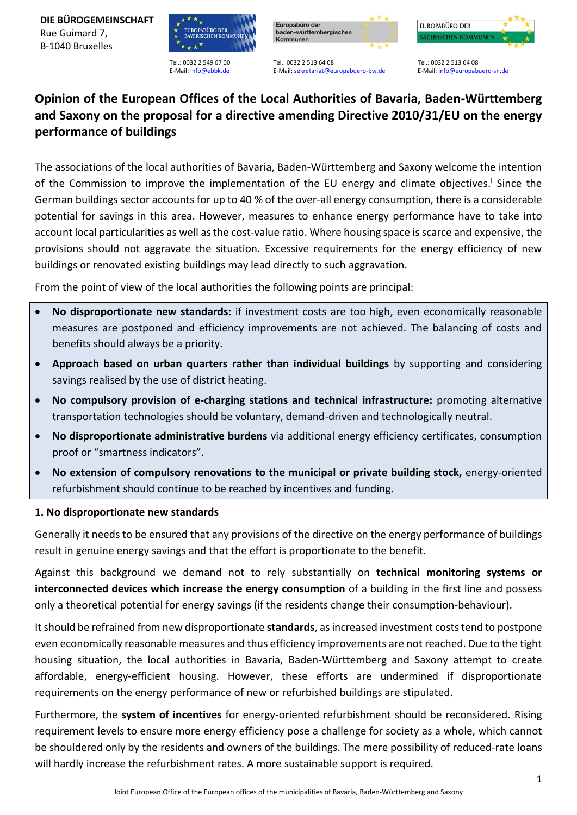**DIE BÜROGEMEINSCHAFT** Rue Guimard 7, B-1040 Bruxelles



Tel.: 0032 2 549 07 00 E-Mail: [info@ebbk.de](mailto:info@ebbk.de)





Tel.: 0032 2 513 64 08 E-Mail[: sekretariat@europabuero-bw.de](mailto:sekretariat@europabuero-bw.de)

Tel.: 0032 2 513 64 08 E-Mail: info@europabuero-sn.de

# **Opinion of the European Offices of the Local Authorities of Bavaria, Baden-Württemberg and Saxony on the proposal for a directive amending Directive 2010/31/EU on the energy performance of buildings**

The associations of the local authorities of Bavaria, Baden-Württemberg and Saxony welcome the intention of the Commission to improve the implementation of the EU energy and climate objectives.<sup>i</sup> Since the German buildings sector accounts for up to 40 % of the over-all energy consumption, there is a considerable potential for savings in this area. However, measures to enhance energy performance have to take into account local particularities as well asthe cost-value ratio. Where housing space is scarce and expensive, the provisions should not aggravate the situation. Excessive requirements for the energy efficiency of new buildings or renovated existing buildings may lead directly to such aggravation.

From the point of view of the local authorities the following points are principal:

- **No disproportionate new standards:** if investment costs are too high, even economically reasonable measures are postponed and efficiency improvements are not achieved. The balancing of costs and benefits should always be a priority.
- **Approach based on urban quarters rather than individual buildings** by supporting and considering savings realised by the use of district heating.
- **No compulsory provision of e-charging stations and technical infrastructure:** promoting alternative transportation technologies should be voluntary, demand-driven and technologically neutral.
- **No disproportionate administrative burdens** via additional energy efficiency certificates, consumption proof or "smartness indicators".
- **No extension of compulsory renovations to the municipal or private building stock,** energy-oriented refurbishment should continue to be reached by incentives and funding**.**

## **1. No disproportionate new standards**

Generally it needs to be ensured that any provisions of the directive on the energy performance of buildings result in genuine energy savings and that the effort is proportionate to the benefit.

Against this background we demand not to rely substantially on **technical monitoring systems or interconnected devices which increase the energy consumption** of a building in the first line and possess only a theoretical potential for energy savings (if the residents change their consumption-behaviour).

It should be refrained from new disproportionate **standards**, as increased investment costs tend to postpone even economically reasonable measures and thus efficiency improvements are not reached. Due to the tight housing situation, the local authorities in Bavaria, Baden-Württemberg and Saxony attempt to create affordable, energy-efficient housing. However, these efforts are undermined if disproportionate requirements on the energy performance of new or refurbished buildings are stipulated.

Furthermore, the **system of incentives** for energy-oriented refurbishment should be reconsidered. Rising requirement levels to ensure more energy efficiency pose a challenge for society as a whole, which cannot be shouldered only by the residents and owners of the buildings. The mere possibility of reduced-rate loans will hardly increase the refurbishment rates. A more sustainable support is required.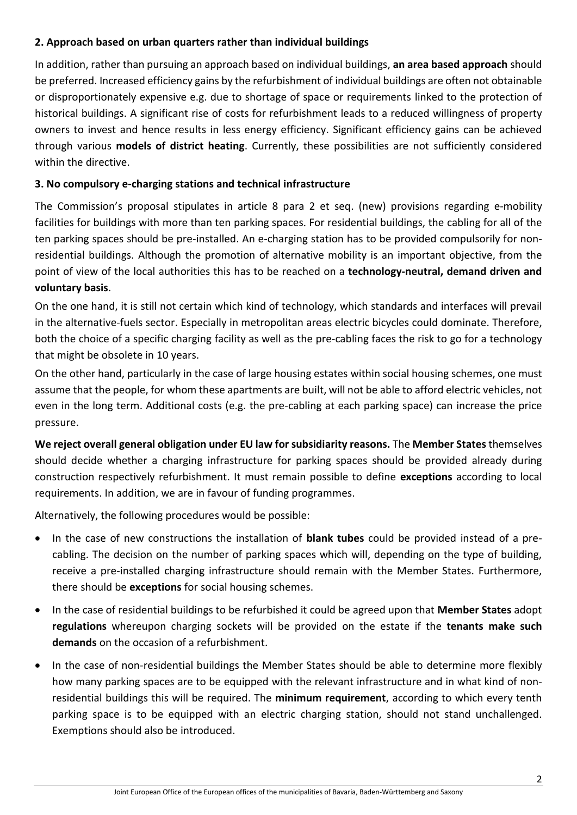## **2. Approach based on urban quarters rather than individual buildings**

In addition, rather than pursuing an approach based on individual buildings, **an area based approach** should be preferred. Increased efficiency gains by the refurbishment of individual buildings are often not obtainable or disproportionately expensive e.g. due to shortage of space or requirements linked to the protection of historical buildings. A significant rise of costs for refurbishment leads to a reduced willingness of property owners to invest and hence results in less energy efficiency. Significant efficiency gains can be achieved through various **models of district heating**. Currently, these possibilities are not sufficiently considered within the directive.

## **3. No compulsory e-charging stations and technical infrastructure**

The Commission's proposal stipulates in article 8 para 2 et seq. (new) provisions regarding e-mobility facilities for buildings with more than ten parking spaces. For residential buildings, the cabling for all of the ten parking spaces should be pre-installed. An e-charging station has to be provided compulsorily for nonresidential buildings. Although the promotion of alternative mobility is an important objective, from the point of view of the local authorities this has to be reached on a **technology-neutral, demand driven and voluntary basis**.

On the one hand, it is still not certain which kind of technology, which standards and interfaces will prevail in the alternative-fuels sector. Especially in metropolitan areas electric bicycles could dominate. Therefore, both the choice of a specific charging facility as well as the pre-cabling faces the risk to go for a technology that might be obsolete in 10 years.

On the other hand, particularly in the case of large housing estates within social housing schemes, one must assume that the people, for whom these apartments are built, will not be able to afford electric vehicles, not even in the long term. Additional costs (e.g. the pre-cabling at each parking space) can increase the price pressure.

**We reject overall general obligation under EU law for subsidiarity reasons.** The **Member States** themselves should decide whether a charging infrastructure for parking spaces should be provided already during construction respectively refurbishment. It must remain possible to define **exceptions** according to local requirements. In addition, we are in favour of funding programmes.

Alternatively, the following procedures would be possible:

- In the case of new constructions the installation of **blank tubes** could be provided instead of a precabling. The decision on the number of parking spaces which will, depending on the type of building, receive a pre-installed charging infrastructure should remain with the Member States. Furthermore, there should be **exceptions** for social housing schemes.
- In the case of residential buildings to be refurbished it could be agreed upon that **Member States** adopt **regulations** whereupon charging sockets will be provided on the estate if the **tenants make such demands** on the occasion of a refurbishment.
- In the case of non-residential buildings the Member States should be able to determine more flexibly how many parking spaces are to be equipped with the relevant infrastructure and in what kind of nonresidential buildings this will be required. The **minimum requirement**, according to which every tenth parking space is to be equipped with an electric charging station, should not stand unchallenged. Exemptions should also be introduced.